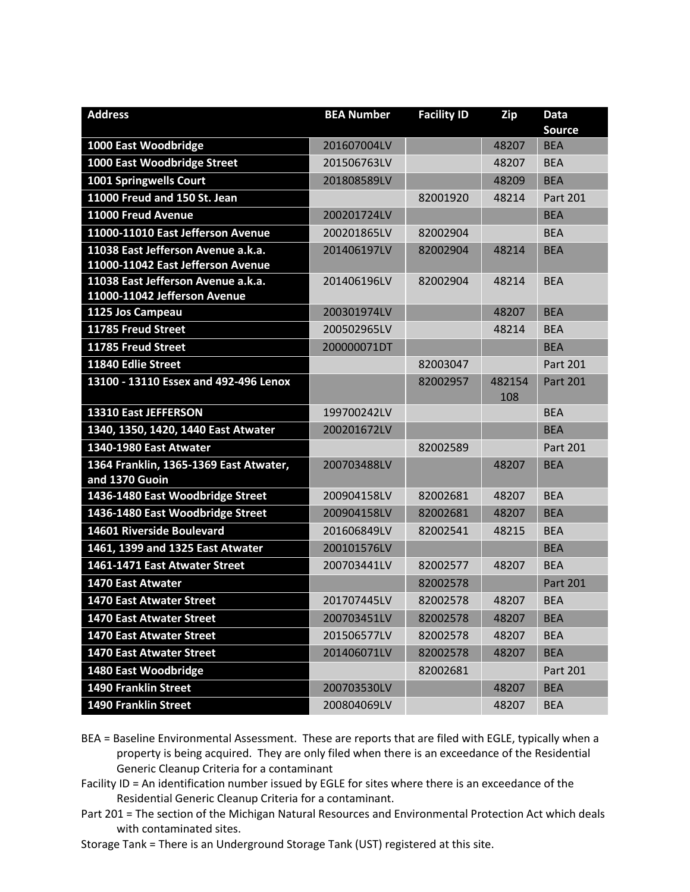| <b>Address</b>                                           | <b>BEA Number</b> | <b>Facility ID</b> | Zip           | <b>Data</b>     |
|----------------------------------------------------------|-------------------|--------------------|---------------|-----------------|
|                                                          |                   |                    |               | <b>Source</b>   |
| 1000 East Woodbridge                                     | 201607004LV       |                    | 48207         | <b>BEA</b>      |
| 1000 East Woodbridge Street                              | 201506763LV       |                    | 48207         | <b>BEA</b>      |
| 1001 Springwells Court                                   | 201808589LV       |                    | 48209         | <b>BEA</b>      |
| 11000 Freud and 150 St. Jean                             |                   | 82001920           | 48214         | Part 201        |
| 11000 Freud Avenue                                       | 200201724LV       |                    |               | <b>BEA</b>      |
| 11000-11010 East Jefferson Avenue                        | 200201865LV       | 82002904           |               | <b>BEA</b>      |
| 11038 East Jefferson Avenue a.k.a.                       | 201406197LV       | 82002904           | 48214         | <b>BEA</b>      |
| 11000-11042 East Jefferson Avenue                        |                   |                    |               |                 |
| 11038 East Jefferson Avenue a.k.a.                       | 201406196LV       | 82002904           | 48214         | <b>BEA</b>      |
| 11000-11042 Jefferson Avenue                             |                   |                    |               |                 |
| 1125 Jos Campeau                                         | 200301974LV       |                    | 48207         | <b>BEA</b>      |
| 11785 Freud Street                                       | 200502965LV       |                    | 48214         | <b>BEA</b>      |
| 11785 Freud Street                                       | 200000071DT       |                    |               | <b>BEA</b>      |
| 11840 Edlie Street                                       |                   | 82003047           |               | <b>Part 201</b> |
| 13100 - 13110 Essex and 492-496 Lenox                    |                   | 82002957           | 482154<br>108 | Part 201        |
| 13310 East JEFFERSON                                     | 199700242LV       |                    |               | <b>BEA</b>      |
| 1340, 1350, 1420, 1440 East Atwater                      | 200201672LV       |                    |               | <b>BEA</b>      |
| 1340-1980 East Atwater                                   |                   | 82002589           |               | <b>Part 201</b> |
| 1364 Franklin, 1365-1369 East Atwater,<br>and 1370 Guoin | 200703488LV       |                    | 48207         | <b>BEA</b>      |
| 1436-1480 East Woodbridge Street                         | 200904158LV       | 82002681           | 48207         | <b>BEA</b>      |
| 1436-1480 East Woodbridge Street                         | 200904158LV       | 82002681           | 48207         | <b>BEA</b>      |
| 14601 Riverside Boulevard                                | 201606849LV       | 82002541           | 48215         | <b>BEA</b>      |
| 1461, 1399 and 1325 East Atwater                         | 200101576LV       |                    |               | <b>BEA</b>      |
| 1461-1471 East Atwater Street                            | 200703441LV       | 82002577           | 48207         | <b>BEA</b>      |
| <b>1470 East Atwater</b>                                 |                   | 82002578           |               | <b>Part 201</b> |
| <b>1470 East Atwater Street</b>                          | 201707445LV       | 82002578           | 48207         | <b>BEA</b>      |
| <b>1470 East Atwater Street</b>                          | 200703451LV       | 82002578           | 48207         | <b>BEA</b>      |
| <b>1470 East Atwater Street</b>                          | 201506577LV       | 82002578           | 48207         | <b>BEA</b>      |
| <b>1470 East Atwater Street</b>                          | 201406071LV       | 82002578           | 48207         | <b>BEA</b>      |
| 1480 East Woodbridge                                     |                   | 82002681           |               | Part 201        |
| <b>1490 Franklin Street</b>                              | 200703530LV       |                    | 48207         | <b>BEA</b>      |
| 1490 Franklin Street                                     | 200804069LV       |                    | 48207         | <b>BEA</b>      |

- BEA = Baseline Environmental Assessment. These are reports that are filed with EGLE, typically when a property is being acquired. They are only filed when there is an exceedance of the Residential Generic Cleanup Criteria for a contaminant
- Facility ID = An identification number issued by EGLE for sites where there is an exceedance of the Residential Generic Cleanup Criteria for a contaminant.
- Part 201 = The section of the Michigan Natural Resources and Environmental Protection Act which deals with contaminated sites.
- Storage Tank = There is an Underground Storage Tank (UST) registered at this site.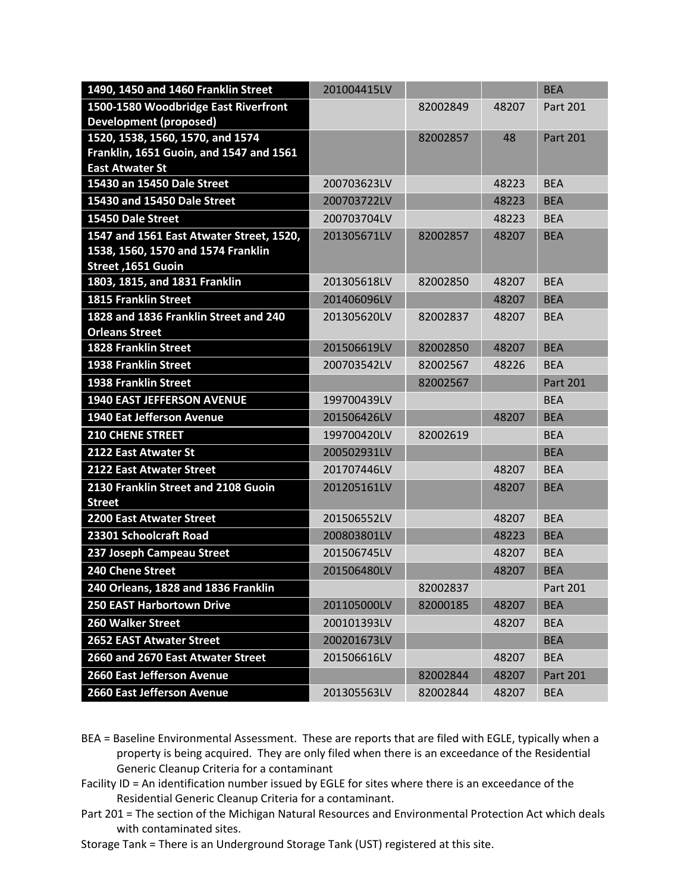| 1490, 1450 and 1460 Franklin Street                  | 201004415LV |          |       | <b>BEA</b>      |
|------------------------------------------------------|-------------|----------|-------|-----------------|
| 1500-1580 Woodbridge East Riverfront                 |             | 82002849 | 48207 | Part 201        |
| <b>Development (proposed)</b>                        |             |          |       |                 |
| 1520, 1538, 1560, 1570, and 1574                     |             | 82002857 | 48    | <b>Part 201</b> |
| Franklin, 1651 Guoin, and 1547 and 1561              |             |          |       |                 |
| <b>East Atwater St</b>                               |             |          |       |                 |
| 15430 an 15450 Dale Street                           | 200703623LV |          | 48223 | <b>BEA</b>      |
| 15430 and 15450 Dale Street                          | 200703722LV |          | 48223 | <b>BEA</b>      |
| 15450 Dale Street                                    | 200703704LV |          | 48223 | <b>BEA</b>      |
| 1547 and 1561 East Atwater Street, 1520,             | 201305671LV | 82002857 | 48207 | <b>BEA</b>      |
| 1538, 1560, 1570 and 1574 Franklin                   |             |          |       |                 |
| Street, 1651 Guoin                                   |             |          |       |                 |
| 1803, 1815, and 1831 Franklin                        | 201305618LV | 82002850 | 48207 | <b>BEA</b>      |
| <b>1815 Franklin Street</b>                          | 201406096LV |          | 48207 | <b>BEA</b>      |
| 1828 and 1836 Franklin Street and 240                | 201305620LV | 82002837 | 48207 | <b>BEA</b>      |
| <b>Orleans Street</b><br><b>1828 Franklin Street</b> | 201506619LV | 82002850 | 48207 | <b>BEA</b>      |
|                                                      |             |          |       |                 |
| <b>1938 Franklin Street</b>                          | 200703542LV | 82002567 | 48226 | <b>BEA</b>      |
| <b>1938 Franklin Street</b>                          |             | 82002567 |       | <b>Part 201</b> |
| <b>1940 EAST JEFFERSON AVENUE</b>                    | 199700439LV |          |       | <b>BEA</b>      |
| <b>1940 Eat Jefferson Avenue</b>                     | 201506426LV |          | 48207 | <b>BEA</b>      |
| <b>210 CHENE STREET</b>                              | 199700420LV | 82002619 |       | <b>BEA</b>      |
| 2122 East Atwater St                                 | 200502931LV |          |       | <b>BEA</b>      |
| 2122 East Atwater Street                             | 201707446LV |          | 48207 | <b>BEA</b>      |
| 2130 Franklin Street and 2108 Guoin                  | 201205161LV |          | 48207 | <b>BEA</b>      |
| <b>Street</b>                                        |             |          |       |                 |
| 2200 East Atwater Street                             | 201506552LV |          | 48207 | <b>BEA</b>      |
| 23301 Schoolcraft Road                               | 200803801LV |          | 48223 | <b>BEA</b>      |
| 237 Joseph Campeau Street                            | 201506745LV |          | 48207 | <b>BEA</b>      |
| 240 Chene Street                                     | 201506480LV |          | 48207 | <b>BEA</b>      |
| 240 Orleans, 1828 and 1836 Franklin                  |             | 82002837 |       | Part 201        |
| <b>250 EAST Harbortown Drive</b>                     | 201105000LV | 82000185 | 48207 | <b>BEA</b>      |
| 260 Walker Street                                    | 200101393LV |          | 48207 | <b>BEA</b>      |
| <b>2652 EAST Atwater Street</b>                      | 200201673LV |          |       | <b>BEA</b>      |
| 2660 and 2670 East Atwater Street                    | 201506616LV |          | 48207 | <b>BEA</b>      |
| 2660 East Jefferson Avenue                           |             | 82002844 | 48207 | Part 201        |
| 2660 East Jefferson Avenue                           | 201305563LV | 82002844 | 48207 | <b>BEA</b>      |

- BEA = Baseline Environmental Assessment. These are reports that are filed with EGLE, typically when a property is being acquired. They are only filed when there is an exceedance of the Residential Generic Cleanup Criteria for a contaminant
- Facility ID = An identification number issued by EGLE for sites where there is an exceedance of the Residential Generic Cleanup Criteria for a contaminant.
- Part 201 = The section of the Michigan Natural Resources and Environmental Protection Act which deals with contaminated sites.
- Storage Tank = There is an Underground Storage Tank (UST) registered at this site.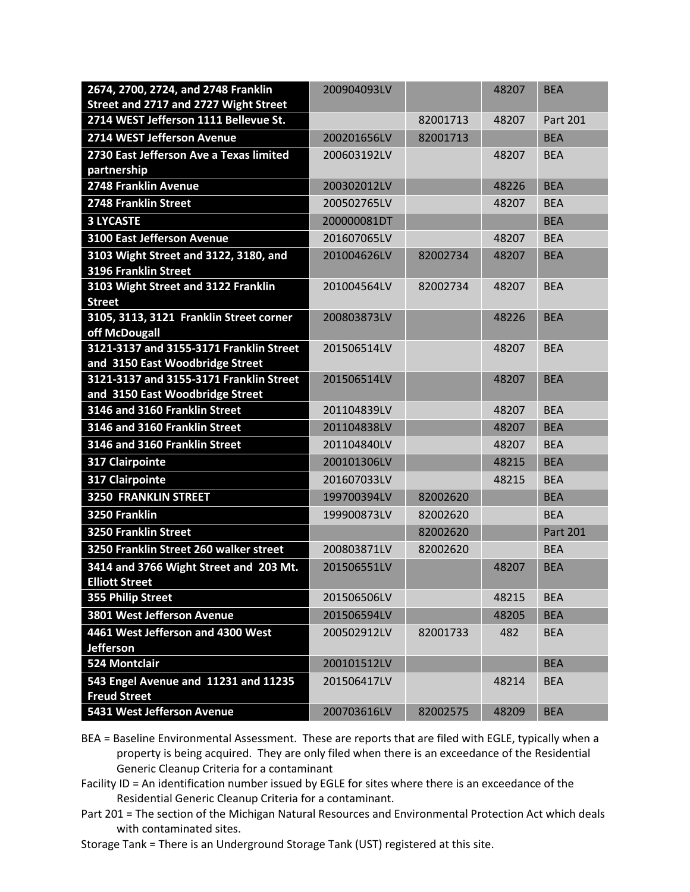| 2674, 2700, 2724, and 2748 Franklin                                        | 200904093LV |          | 48207 | <b>BEA</b>      |
|----------------------------------------------------------------------------|-------------|----------|-------|-----------------|
| Street and 2717 and 2727 Wight Street                                      |             |          |       |                 |
| 2714 WEST Jefferson 1111 Bellevue St.                                      |             | 82001713 | 48207 | Part 201        |
| 2714 WEST Jefferson Avenue                                                 | 200201656LV | 82001713 |       | <b>BEA</b>      |
| 2730 East Jefferson Ave a Texas limited                                    | 200603192LV |          | 48207 | <b>BEA</b>      |
| partnership                                                                |             |          |       |                 |
| 2748 Franklin Avenue                                                       | 200302012LV |          | 48226 | <b>BEA</b>      |
| 2748 Franklin Street                                                       | 200502765LV |          | 48207 | <b>BEA</b>      |
| <b>3 LYCASTE</b>                                                           | 200000081DT |          |       | <b>BEA</b>      |
| <b>3100 East Jefferson Avenue</b>                                          | 201607065LV |          | 48207 | <b>BEA</b>      |
| 3103 Wight Street and 3122, 3180, and<br>3196 Franklin Street              | 201004626LV | 82002734 | 48207 | <b>BEA</b>      |
| 3103 Wight Street and 3122 Franklin                                        | 201004564LV | 82002734 | 48207 | <b>BEA</b>      |
| <b>Street</b>                                                              |             |          |       |                 |
| 3105, 3113, 3121 Franklin Street corner                                    | 200803873LV |          | 48226 | <b>BEA</b>      |
| off McDougall                                                              |             |          |       |                 |
| 3121-3137 and 3155-3171 Franklin Street<br>and 3150 East Woodbridge Street | 201506514LV |          | 48207 | <b>BEA</b>      |
| 3121-3137 and 3155-3171 Franklin Street                                    | 201506514LV |          | 48207 | <b>BEA</b>      |
| and 3150 East Woodbridge Street                                            |             |          |       |                 |
| 3146 and 3160 Franklin Street                                              | 201104839LV |          | 48207 | <b>BEA</b>      |
| 3146 and 3160 Franklin Street                                              | 201104838LV |          | 48207 | <b>BEA</b>      |
| 3146 and 3160 Franklin Street                                              | 201104840LV |          | 48207 | <b>BEA</b>      |
| <b>317 Clairpointe</b>                                                     | 200101306LV |          | 48215 | <b>BEA</b>      |
| 317 Clairpointe                                                            | 201607033LV |          | 48215 | <b>BEA</b>      |
| <b>3250 FRANKLIN STREET</b>                                                | 199700394LV | 82002620 |       | <b>BEA</b>      |
| 3250 Franklin                                                              | 199900873LV | 82002620 |       | <b>BEA</b>      |
| <b>3250 Franklin Street</b>                                                |             | 82002620 |       | <b>Part 201</b> |
| 3250 Franklin Street 260 walker street                                     | 200803871LV | 82002620 |       | <b>BEA</b>      |
| 3414 and 3766 Wight Street and 203 Mt.<br><b>Elliott Street</b>            | 201506551LV |          | 48207 | <b>BEA</b>      |
| 355 Philip Street                                                          | 201506506LV |          | 48215 | <b>BEA</b>      |
| 3801 West Jefferson Avenue                                                 | 201506594LV |          | 48205 | <b>BEA</b>      |
| 4461 West Jefferson and 4300 West                                          | 200502912LV | 82001733 | 482   | <b>BEA</b>      |
| <b>Jefferson</b>                                                           |             |          |       |                 |
| 524 Montclair                                                              | 200101512LV |          |       | <b>BEA</b>      |
| 543 Engel Avenue and 11231 and 11235<br><b>Freud Street</b>                | 201506417LV |          | 48214 | <b>BEA</b>      |
| 5431 West Jefferson Avenue                                                 | 200703616LV | 82002575 | 48209 | <b>BEA</b>      |

- BEA = Baseline Environmental Assessment. These are reports that are filed with EGLE, typically when a property is being acquired. They are only filed when there is an exceedance of the Residential Generic Cleanup Criteria for a contaminant
- Facility ID = An identification number issued by EGLE for sites where there is an exceedance of the Residential Generic Cleanup Criteria for a contaminant.
- Part 201 = The section of the Michigan Natural Resources and Environmental Protection Act which deals with contaminated sites.
- Storage Tank = There is an Underground Storage Tank (UST) registered at this site.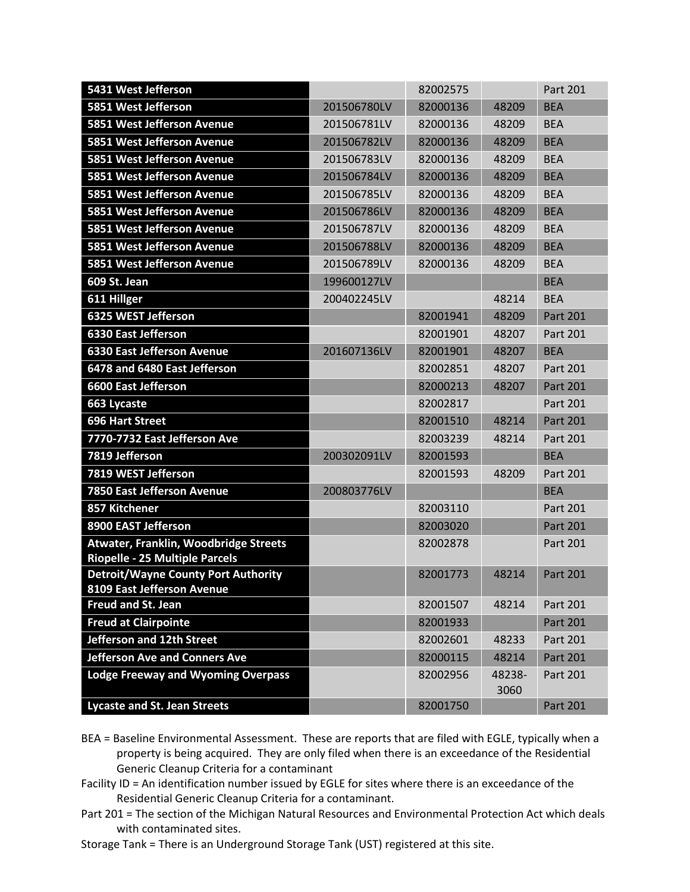| 5431 West Jefferson                                     |             | 82002575 |        | Part 201        |
|---------------------------------------------------------|-------------|----------|--------|-----------------|
| 5851 West Jefferson                                     | 201506780LV | 82000136 | 48209  | <b>BEA</b>      |
| 5851 West Jefferson Avenue                              | 201506781LV | 82000136 | 48209  | <b>BEA</b>      |
| 5851 West Jefferson Avenue                              | 201506782LV | 82000136 | 48209  | <b>BEA</b>      |
| 5851 West Jefferson Avenue                              | 201506783LV | 82000136 | 48209  | <b>BEA</b>      |
| 5851 West Jefferson Avenue                              | 201506784LV | 82000136 | 48209  | <b>BEA</b>      |
| 5851 West Jefferson Avenue                              | 201506785LV | 82000136 | 48209  | <b>BEA</b>      |
| 5851 West Jefferson Avenue                              | 201506786LV | 82000136 | 48209  | <b>BEA</b>      |
| 5851 West Jefferson Avenue                              | 201506787LV | 82000136 | 48209  | <b>BEA</b>      |
| 5851 West Jefferson Avenue                              | 201506788LV | 82000136 | 48209  | <b>BEA</b>      |
| 5851 West Jefferson Avenue                              | 201506789LV | 82000136 | 48209  | <b>BEA</b>      |
| 609 St. Jean                                            | 199600127LV |          |        | <b>BEA</b>      |
| 611 Hillger                                             | 200402245LV |          | 48214  | <b>BEA</b>      |
| 6325 WEST Jefferson                                     |             | 82001941 | 48209  | <b>Part 201</b> |
| <b>6330 East Jefferson</b>                              |             | 82001901 | 48207  | Part 201        |
| <b>6330 East Jefferson Avenue</b>                       | 201607136LV | 82001901 | 48207  | <b>BEA</b>      |
| 6478 and 6480 East Jefferson                            |             | 82002851 | 48207  | <b>Part 201</b> |
| <b>6600 East Jefferson</b>                              |             | 82000213 | 48207  | <b>Part 201</b> |
| 663 Lycaste                                             |             | 82002817 |        | Part 201        |
| <b>696 Hart Street</b>                                  |             | 82001510 | 48214  | <b>Part 201</b> |
| 7770-7732 East Jefferson Ave                            |             | 82003239 | 48214  | Part 201        |
| 7819 Jefferson                                          | 200302091LV | 82001593 |        | <b>BEA</b>      |
| 7819 WEST Jefferson                                     |             | 82001593 | 48209  | Part 201        |
| 7850 East Jefferson Avenue                              | 200803776LV |          |        | <b>BEA</b>      |
| 857 Kitchener                                           |             | 82003110 |        | Part 201        |
| 8900 EAST Jefferson                                     |             | 82003020 |        | <b>Part 201</b> |
| Atwater, Franklin, Woodbridge Streets                   |             | 82002878 |        | Part 201        |
| Riopelle - 25 Multiple Parcels                          |             |          |        |                 |
| <b>Detroit/Wayne County Port Authority</b>              |             | 82001773 | 48214  | <b>Part 201</b> |
| 8109 East Jefferson Avenue<br><b>Freud and St. Jean</b> |             | 82001507 | 48214  | Part 201        |
| <b>Freud at Clairpointe</b>                             |             | 82001933 |        | Part 201        |
| Jefferson and 12th Street                               |             | 82002601 | 48233  | Part 201        |
| <b>Jefferson Ave and Conners Ave</b>                    |             | 82000115 | 48214  | <b>Part 201</b> |
| <b>Lodge Freeway and Wyoming Overpass</b>               |             | 82002956 | 48238- | Part 201        |
|                                                         |             |          | 3060   |                 |
| <b>Lycaste and St. Jean Streets</b>                     |             | 82001750 |        | Part 201        |

- BEA = Baseline Environmental Assessment. These are reports that are filed with EGLE, typically when a property is being acquired. They are only filed when there is an exceedance of the Residential Generic Cleanup Criteria for a contaminant
- Facility ID = An identification number issued by EGLE for sites where there is an exceedance of the Residential Generic Cleanup Criteria for a contaminant.
- Part 201 = The section of the Michigan Natural Resources and Environmental Protection Act which deals with contaminated sites.
- Storage Tank = There is an Underground Storage Tank (UST) registered at this site.